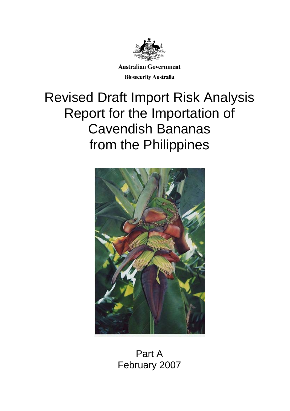

# Revised Draft Import Risk Analysis Report for the Importation of Cavendish Bananas from the Philippines



Part A February 2007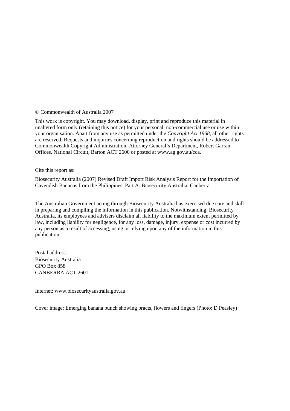#### © Commonwealth of Australia 2007

This work is copyright. You may download, display, print and reproduce this material in unaltered form only (retaining this notice) for your personal, non-commercial use or use within your organisation. Apart from any use as permitted under the *Copyright Act 1968*, all other rights are reserved. Requests and inquiries concerning reproduction and rights should be addressed to Commonwealth Copyright Administration, Attorney General's Department, Robert Garran Offices, National Circuit, Barton ACT 2600 or posted at www.ag.gov.au/cca.

#### Cite this report as:

Biosecurity Australia (2007) Revised Draft Import Risk Analysis Report for the Importation of Cavendish Bananas from the Philippines, Part A. Biosecurity Australia, Canberra.

The Australian Government acting through Biosecurity Australia has exercised due care and skill in preparing and compiling the information in this publication. Notwithstanding, Biosecurity Australia, its employees and advisers disclaim all liability to the maximum extent permitted by law, including liability for negligence, for any loss, damage, injury, expense or cost incurred by any person as a result of accessing, using or relying upon any of the information in this publication.

Postal address: Biosecurity Australia GPO Box 858 CANBERRA ACT 2601

Internet: www.biosecurityaustralia.gov.au

Cover image: Emerging banana bunch showing bracts, flowers and fingers (Photo: D Peasley)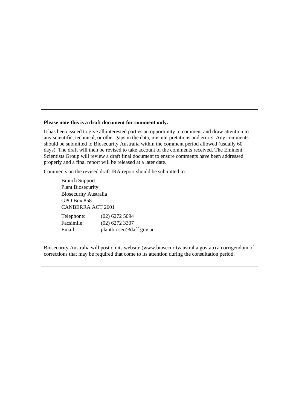#### **Please note this is a draft document for comment only.**

It has been issued to give all interested parties an opportunity to comment and draw attention to any scientific, technical, or other gaps in the data, misinterpretations and errors. Any comments should be submitted to Biosecurity Australia within the comment period allowed (usually 60 days). The draft will then be revised to take account of the comments received. The Eminent Scientists Group will review a draft final document to ensure comments have been addressed properly and a final report will be released at a later date.

Comments on the revised draft IRA report should be submitted to:

Branch Support Plant Biosecurity Biosecurity Australia GPO Box 858 CANBERRA ACT 2601

| Telephone: | $(02)$ 6272 5094        |
|------------|-------------------------|
| Facsimile: | $(02)$ 6272 3307        |
| Email:     | plantbiosec@daff.gov.au |

Biosecurity Australia will post on its website (www.biosecurityaustralia.gov.au) a corrigendum of corrections that may be required that come to its attention during the consultation period.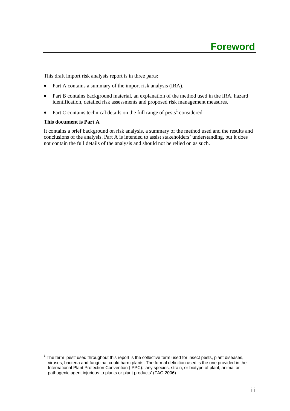This draft import risk analysis report is in three parts:

- Part A contains a summary of the import risk analysis (IRA).
- Part B contains background material, an explanation of the method used in the IRA, hazard identification, detailed risk assessments and proposed risk management measures.
- Part C contains technical details on the full range of pests<sup>1</sup> considered.

#### **This document is Part A**

 $\overline{a}$ 

It contains a brief background on risk analysis, a summary of the method used and the results and conclusions of the analysis. Part A is intended to assist stakeholders' understanding, but it does not contain the full details of the analysis and should not be relied on as such.

 $1$  The term 'pest' used throughout this report is the collective term used for insect pests, plant diseases, viruses, bacteria and fungi that could harm plants. The formal definition used is the one provided in the International Plant Protection Convention (IPPC): 'any species, strain, or biotype of plant, animal or pathogenic agent injurious to plants or plant products' (FAO 2006).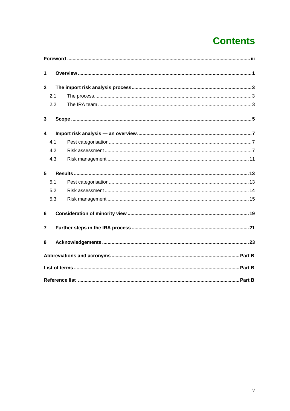# **Contents**

| 1              |     |  |  |  |  |  |  |
|----------------|-----|--|--|--|--|--|--|
| $\overline{2}$ |     |  |  |  |  |  |  |
|                | 2.1 |  |  |  |  |  |  |
|                | 2.2 |  |  |  |  |  |  |
| 3              |     |  |  |  |  |  |  |
| 4              |     |  |  |  |  |  |  |
|                | 4.1 |  |  |  |  |  |  |
|                | 4.2 |  |  |  |  |  |  |
|                | 4.3 |  |  |  |  |  |  |
| 5              |     |  |  |  |  |  |  |
|                | 5.1 |  |  |  |  |  |  |
|                | 5.2 |  |  |  |  |  |  |
|                | 5.3 |  |  |  |  |  |  |
| 6              |     |  |  |  |  |  |  |
| 7              |     |  |  |  |  |  |  |
| 8              |     |  |  |  |  |  |  |
|                |     |  |  |  |  |  |  |
|                |     |  |  |  |  |  |  |
|                |     |  |  |  |  |  |  |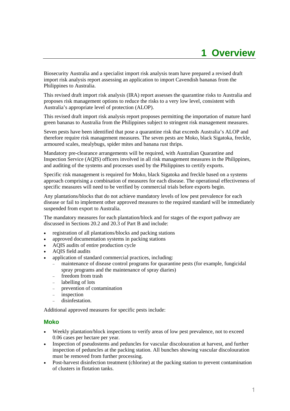# **1 Overview**

Biosecurity Australia and a specialist import risk analysis team have prepared a revised draft import risk analysis report assessing an application to import Cavendish bananas from the Philippines to Australia.

This revised draft import risk analysis (IRA) report assesses the quarantine risks to Australia and proposes risk management options to reduce the risks to a very low level, consistent with Australia's appropriate level of protection (ALOP).

This revised draft import risk analysis report proposes permitting the importation of mature hard green bananas to Australia from the Philippines subject to stringent risk management measures.

Seven pests have been identified that pose a quarantine risk that exceeds Australia's ALOP and therefore require risk management measures. The seven pests are Moko, black Sigatoka, freckle, armoured scales, mealybugs, spider mites and banana rust thrips.

Mandatory pre-clearance arrangements will be required, with Australian Quarantine and Inspection Service (AQIS) officers involved in all risk management measures in the Philippines, and auditing of the systems and processes used by the Philippines to certify exports.

Specific risk management is required for Moko, black Sigatoka and freckle based on a systems approach comprising a combination of measures for each disease. The operational effectiveness of specific measures will need to be verified by commercial trials before exports begin.

Any plantations/blocks that do not achieve mandatory levels of low pest prevalence for each disease or fail to implement other approved measures to the required standard will be immediately suspended from export to Australia.

The mandatory measures for each plantation/block and for stages of the export pathway are discussed in Sections 20.2 and 20.3 of Part B and include:

- registration of all plantations/blocks and packing stations
- approved documentation systems in packing stations
- AQIS audits of entire production cycle
- AQIS field audits
- application of standard commercial practices, including:
	- maintenance of disease control programs for quarantine pests (for example, fungicidal spray programs and the maintenance of spray diaries)
	- freedom from trash
	- labelling of lots
	- − prevention of contamination
	- inspection
	- − disinfestation.

Additional approved measures for specific pests include:

#### **Moko**

- Weekly plantation/block inspections to verify areas of low pest prevalence, not to exceed 0.06 cases per hectare per year.
- Inspection of pseudostems and peduncles for vascular discolouration at harvest, and further inspection of peduncles at the packing station. All bunches showing vascular discolouration must be removed from further processing.
- Post-harvest disinfection treatment (chlorine) at the packing station to prevent contamination of clusters in flotation tanks.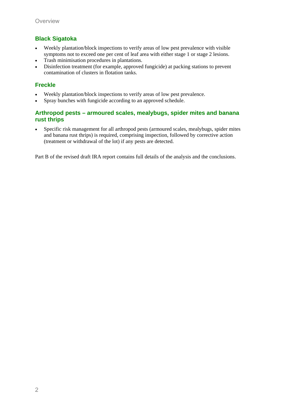### **Black Sigatoka**

- Weekly plantation/block inspections to verify areas of low pest prevalence with visible symptoms not to exceed one per cent of leaf area with either stage 1 or stage 2 lesions.
- Trash minimisation procedures in plantations.
- Disinfection treatment (for example, approved fungicide) at packing stations to prevent contamination of clusters in flotation tanks.

### **Freckle**

- Weekly plantation/block inspections to verify areas of low pest prevalence.
- Spray bunches with fungicide according to an approved schedule.

#### **Arthropod pests – armoured scales, mealybugs, spider mites and banana rust thrips**

• Specific risk management for all arthropod pests (armoured scales, mealybugs, spider mites and banana rust thrips) is required, comprising inspection, followed by corrective action (treatment or withdrawal of the lot) if any pests are detected.

Part B of the revised draft IRA report contains full details of the analysis and the conclusions.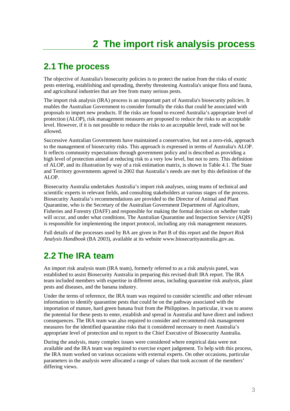# **2.1 The process**

The objective of Australia's biosecurity policies is to protect the nation from the risks of exotic pests entering, establishing and spreading, thereby threatening Australia's unique flora and fauna, and agricultural industries that are free from many serious pests.

The import risk analysis (IRA) process is an important part of Australia's biosecurity policies. It enables the Australian Government to consider formally the risks that could be associated with proposals to import new products. If the risks are found to exceed Australia's appropriate level of protection (ALOP), risk management measures are proposed to reduce the risks to an acceptable level. However, if it is not possible to reduce the risks to an acceptable level, trade will not be allowed.

Successive Australian Governments have maintained a conservative, but not a zero-risk, approach to the management of biosecurity risks. This approach is expressed in terms of Australia's ALOP. It reflects community expectations through government policy and is described as providing a high level of protection aimed at reducing risk to a very low level, but not to zero. This definition of ALOP, and its illustration by way of a risk estimation matrix, is shown in Table 4.1. The State and Territory governments agreed in 2002 that Australia's needs are met by this definition of the ALOP.

Biosecurity Australia undertakes Australia's import risk analyses, using teams of technical and scientific experts in relevant fields, and consulting stakeholders at various stages of the process. Biosecurity Australia's recommendations are provided to the Director of Animal and Plant Quarantine, who is the Secretary of the Australian Government Department of Agriculture, Fisheries and Forestry (DAFF) and responsible for making the formal decision on whether trade will occur, and under what conditions. The Australian Quarantine and Inspection Service (AQIS) is responsible for implementing the import protocol, including any risk management measures.

Full details of the processes used by BA are given in Part B of this report and the *Import Risk Analysis Handbook* (BA 2003), available at its website www.biosecurityaustralia.gov.au.

# **2.2 The IRA team**

An import risk analysis team (IRA team), formerly referred to as a risk analysis panel, was established to assist Biosecurity Australia in preparing this revised draft IRA report. The IRA team included members with expertise in different areas, including quarantine risk analysis, plant pests and diseases, and the banana industry.

Under the terms of reference, the IRA team was required to consider scientific and other relevant information to identify quarantine pests that could be on the pathway associated with the importation of mature, hard green banana fruit from the Philippines. In particular, it was to assess the potential for these pests to enter, establish and spread in Australia and have direct and indirect consequences. The IRA team was also required to consider and recommend risk management measures for the identified quarantine risks that it considered necessary to meet Australia's appropriate level of protection and to report to the Chief Executive of Biosecurity Australia.

During the analysis, many complex issues were considered where empirical data were not available and the IRA team was required to exercise expert judgement. To help with this process, the IRA team worked on various occasions with external experts. On other occasions, particular parameters in the analysis were allocated a range of values that took account of the members' differing views.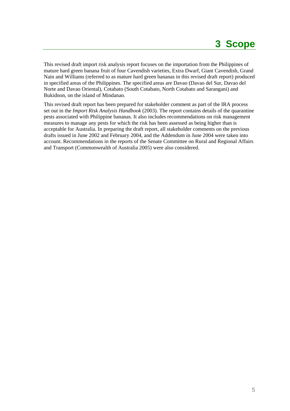This revised draft import risk analysis report focuses on the importation from the Philippines of mature hard green banana fruit of four Cavendish varieties, Extra Dwarf, Giant Cavendish, Grand Nain and Williams (referred to as mature hard green bananas in this revised draft report) produced in specified areas of the Philippines. The specified areas are Davao (Davao del Sur, Davao del Norte and Davao Oriental), Cotabato (South Cotabato, North Cotabato and Sarangani) and Bukidnon, on the island of Mindanao.

This revised draft report has been prepared for stakeholder comment as part of the IRA process set out in the *Import Risk Analysis Handbook* (2003). The report contains details of the quarantine pests associated with Philippine bananas. It also includes recommendations on risk management measures to manage any pests for which the risk has been assessed as being higher than is acceptable for Australia. In preparing the draft report, all stakeholder comments on the previous drafts issued in June 2002 and February 2004, and the Addendum in June 2004 were taken into account. Recommendations in the reports of the Senate Committee on Rural and Regional Affairs and Transport (Commonwealth of Australia 2005) were also considered.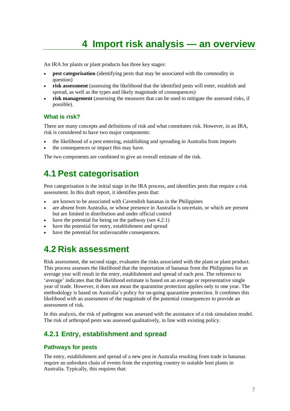# **4 Import risk analysis — an overview**

An IRA for plants or plant products has three key stages:

- **pest categorisation** (identifying pests that may be associated with the commodity in question)
- **risk assessment** (assessing the likelihood that the identified pests will enter, establish and spread, as well as the types and likely magnitude of consequences)
- risk management (assessing the measures that can be used to mitigate the assessed risks, if possible).

#### **What is risk?**

There are many concepts and definitions of risk and what constitutes risk. However, in an IRA, risk is considered to have two major components:

- the likelihood of a pest entering, establishing and spreading in Australia from imports
- the consequences or impact this may have.

The two components are combined to give an overall estimate of the risk.

# **4.1 Pest categorisation**

Pest categorisation is the initial stage in the IRA process, and identifies pests that require a risk assessment. In this draft report, it identifies pests that:

- are known to be associated with Cavendish bananas in the Philippines
- are absent from Australia, or whose presence in Australia is uncertain, or which are present but are limited in distribution and under official control
- have the potential for being on the pathway (see  $4.2.1$ )
- have the potential for entry, establishment and spread
- have the potential for unfavourable consequences.

# **4.2 Risk assessment**

Risk assessment, the second stage, evaluates the risks associated with the plant or plant product. This process assesses the likelihood that the importation of bananas from the Philippines for an average year will result in the entry, establishment and spread of each pest. The reference to 'average' indicates that the likelihood estimate is based on an average or representative single year of trade. However, it does not mean the quarantine protection applies only to one year. The methodology is based on Australia's policy for on-going quarantine protection. It combines this likelihood with an assessment of the magnitude of the potential consequences to provide an assessment of risk.

In this analysis, the risk of pathogens was assessed with the assistance of a risk simulation model. The risk of arthropod pests was assessed qualitatively, in line with existing policy.

## **4.2.1 Entry, establishment and spread**

#### **Pathways for pests**

The entry, establishment and spread of a new pest in Australia resulting from trade in bananas require an unbroken chain of events from the exporting country to suitable host plants in Australia. Typically, this requires that: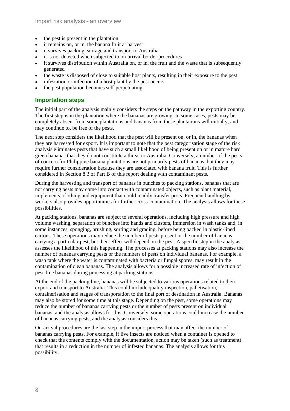- the pest is present in the plantation
- it remains on, or in, the banana fruit at harvest
- it survives packing, storage and transport to Australia
- it is not detected when subjected to on-arrival border procedures
- it survives distribution within Australia on, or in, the fruit and the waste that is subsequently generated
- the waste is disposed of close to suitable host plants, resulting in their exposure to the pest
- infestation or infection of a host plant by the pest occurs
- the pest population becomes self-perpetuating.

### **Importation steps**

The initial part of the analysis mainly considers the steps on the pathway in the exporting country. The first step is in the plantation where the bananas are growing. In some cases, pests may be completely absent from some plantations and bananas from these plantations will initially, and may continue to, be free of the pests.

The next step considers the likelihood that the pest will be present on, or in, the bananas when they are harvested for export. It is important to note that the pest categorisation stage of the risk analysis eliminates pests that have such a small likelihood of being present on or in mature hard green bananas that they do not constitute a threat to Australia. Conversely, a number of the pests of concern for Philippine banana plantations are not primarily pests of bananas, but they may require further consideration because they are associated with banana fruit. This is further considered in Section 8.3 of Part B of this report dealing with contaminant pests.

During the harvesting and transport of bananas in bunches to packing stations, bananas that are not carrying pests may come into contact with contaminated objects, such as plant material, implements, clothing and equipment that could readily transfer pests. Frequent handling by workers also provides opportunities for further cross-contamination. The analysis allows for these possibilities.

At packing stations, bananas are subject to several operations, including high pressure and high volume washing, separation of bunches into hands and clusters, immersion in wash tanks and, in some instances, sponging, brushing, sorting and grading, before being packed in plastic-lined cartons. These operations may reduce the number of pests present or the number of bananas carrying a particular pest, but their effect will depend on the pest. A specific step in the analysis assesses the likelihood of this happening. The processes at packing stations may also increase the number of bananas carrying pests or the numbers of pests on individual bananas. For example, a wash tank where the water is contaminated with bacteria or fungal spores, may result in the contamination of clean bananas. The analysis allows for a possible increased rate of infection of pest-free bananas during processing at packing stations.

At the end of the packing line, bananas will be subjected to various operations related to their export and transport to Australia. This could include quality inspection, palletisation, containerisation and stages of transportation to the final port of destination in Australia. Bananas may also be stored for some time at this stage. Depending on the pest, some operations may reduce the number of bananas carrying pests or the number of pests present on individual bananas, and the analysis allows for this. Conversely, some operations could increase the number of bananas carrying pests, and the analysis considers this.

On-arrival procedures are the last step in the import process that may affect the number of bananas carrying pests. For example, if live insects are noticed when a container is opened to check that the contents comply with the documentation, action may be taken (such as treatment) that results in a reduction in the number of infested bananas. The analysis allows for this possibility.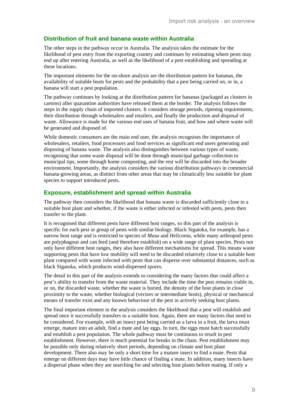### **Distribution of fruit and banana waste within Australia**

The other steps in the pathway occur in Australia. The analysis takes the estimate for the likelihood of pest entry from the exporting country and continues by estimating where pests may end up after entering Australia, as well as the likelihood of a pest establishing and spreading at these locations.

The important elements for the on-shore analysis are the distribution pattern for bananas, the availability of suitable hosts for pests and the probability that a pest being carried on, or in, a banana will start a pest population.

The pathway continues by looking at the distribution pattern for bananas (packaged as clusters in cartons) after quarantine authorities have released them at the border. The analysis follows the steps in the supply chain of imported clusters. It considers storage periods, ripening requirements, their distribution through wholesalers and retailers, and finally the production and disposal of waste. Allowance is made for the various end uses of banana fruit, and how and where waste will be generated and disposed of.

While domestic consumers are the main end user, the analysis recognises the importance of wholesalers, retailers, food processors and food services as significant end users generating and disposing of banana waste. The analysis also distinguishes between various types of waste, recognising that some waste disposal will be done through municipal garbage collection to municipal tips, some through home composting, and the rest will be discarded into the broader environment. Importantly, the analysis considers the various distribution pathways in commercial banana-growing areas, as distinct from other areas that may be climatically less suitable for plant species to support introduced pests.

### **Exposure, establishment and spread within Australia**

The pathway then considers the likelihood that banana waste is discarded sufficiently close to a suitable host plant and whether, if the waste is either infected or infested with pests, pests then transfer to the plant.

It is recognised that different pests have different host ranges, so this part of the analysis is specific for each pest or group of pests with similar biology. Black Sigatoka, for example, has a narrow host range and is restricted to species of *Musa* and *Heliconia*, while many arthropod pests are polyphagous and can feed (and therefore establish) on a wide range of plant species. Pests not only have different host ranges, they also have different mechanisms for spread. This means waste supporting pests that have low mobility will need to be discarded relatively close to a suitable host plant compared with waste infected with pests that can disperse over substantial distances, such as black Sigatoka, which produces wind-dispersed spores.

The detail in this part of the analysis extends to considering the many factors that could affect a pest's ability to transfer from the waste material. They include the time the pest remains viable in, or on, the discarded waste, whether the waste is buried, the density of the host plants in close proximity to the waste, whether biological (vectors or intermediate hosts), physical or mechanical means of transfer exist and any known behaviour of the pest in actively seeking host plants.

The final important element in the analysis considers the likelihood that a pest will establish and spread once it successfully transfers to a suitable host. Again, there are many factors that need to be considered. For example, with an insect pest being carried as a larva in a fruit, the larva must emerge, mature into an adult, find a mate and lay eggs. In turn, the eggs must hatch successfully and establish a pest population. The whole pathway must be continuous to result in pest establishment. However, there is much potential for breaks in the chain. Pest establishment may be possible only during relatively short periods, depending on climate and host plant development. There also may be only a short time for a mature insect to find a mate. Pests that emerge on different days may have little chance of finding a mate. In addition, many insects have a dispersal phase when they are searching for and selecting host plants before mating. If only a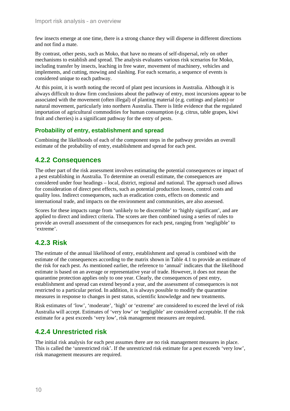few insects emerge at one time, there is a strong chance they will disperse in different directions and not find a mate.

By contrast, other pests, such as Moko, that have no means of self-dispersal, rely on other mechanisms to establish and spread. The analysis evaluates various risk scenarios for Moko, including transfer by insects, leaching in free water, movement of machinery, vehicles and implements, and cutting, mowing and slashing. For each scenario, a sequence of events is considered unique to each pathway.

At this point, it is worth noting the record of plant pest incursions in Australia. Although it is always difficult to draw firm conclusions about the pathway of entry, most incursions appear to be associated with the movement (often illegal) of planting material (e.g. cuttings and plants) or natural movement, particularly into northern Australia. There is little evidence that the regulated importation of agricultural commodities for human consumption (e.g. citrus, table grapes, kiwi fruit and cherries) is a significant pathway for the entry of pests.

### **Probability of entry, establishment and spread**

Combining the likelihoods of each of the component steps in the pathway provides an overall estimate of the probability of entry, establishment and spread for each pest.

# **4.2.2 Consequences**

The other part of the risk assessment involves estimating the potential consequences or impact of a pest establishing in Australia. To determine an overall estimate, the consequences are considered under four headings – local, district, regional and national. The approach used allows for consideration of direct pest effects, such as potential production losses, control costs and quality loss. Indirect consequences, such as eradication costs, effects on domestic and international trade, and impacts on the environment and communities, are also assessed.

Scores for these impacts range from 'unlikely to be discernible' to 'highly significant', and are applied to direct and indirect criteria. The scores are then combined using a series of rules to provide an overall assessment of the consequences for each pest, ranging from 'negligible' to 'extreme'.

# **4.2.3 Risk**

The estimate of the annual likelihood of entry, establishment and spread is combined with the estimate of the consequences according to the matrix shown in Table 4.1 to provide an estimate of the risk for each pest. As mentioned earlier, the reference to 'annual' indicates that the likelihood estimate is based on an average or representative year of trade. However, it does not mean the quarantine protection applies only to one year. Clearly, the consequences of pest entry, establishment and spread can extend beyond a year, and the assessment of consequences is not restricted to a particular period. In addition, it is always possible to modify the quarantine measures in response to changes in pest status, scientific knowledge and new treatments.

Risk estimates of 'low', 'moderate', 'high' or 'extreme' are considered to exceed the level of risk Australia will accept. Estimates of 'very low' or 'negligible' are considered acceptable. If the risk estimate for a pest exceeds 'very low', risk management measures are required.

# **4.2.4 Unrestricted risk**

The initial risk analysis for each pest assumes there are no risk management measures in place. This is called the 'unrestricted risk'. If the unrestricted risk estimate for a pest exceeds 'very low', risk management measures are required.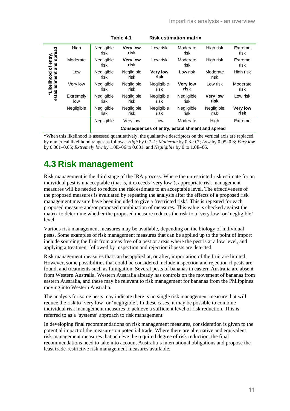| spread                       | High             | Negligible<br>risk                              | <b>Very low</b><br>risk | Low risk                | Moderate<br>risk        | High risk               | Extreme<br>risk         |
|------------------------------|------------------|-------------------------------------------------|-------------------------|-------------------------|-------------------------|-------------------------|-------------------------|
| of entry,<br>and             | Moderate         | Negligible<br>risk                              | <b>Very low</b><br>risk | Low risk                | Moderate<br>risk        | High risk               | Extreme<br>risk         |
|                              | Low              | Negligible<br>risk                              | Negligible<br>risk      | <b>Very low</b><br>risk | Low risk                | Moderate<br>risk        | High risk               |
| *Likelihood<br>establishment | Very low         | Negligible<br>risk                              | Negligible<br>risk      | Negligible<br>risk      | <b>Very low</b><br>risk | Low risk                | Moderate<br>risk        |
|                              | Extremely<br>low | Negligible<br>risk                              | Negligible<br>risk      | Negligible<br>risk      | Negligible<br>risk      | <b>Very low</b><br>risk | Low risk                |
|                              | Negligible       | Negligible<br>risk                              | Negligible<br>risk      | Negligible<br>risk      | Negligible<br>risk      | Negligible<br>risk      | <b>Very low</b><br>risk |
|                              |                  | Negligible                                      | Very low                | Low                     | Moderate                | High                    | Extreme                 |
|                              |                  | Consequences of entry, establishment and spread |                         |                         |                         |                         |                         |

\*When this likelihood is assessed quantitatively, the qualitative descriptors on the vertical axis are replaced by numerical likelihood ranges as follows: *High* by 0.7–1; *Moderate* by 0.3–0.7; *Low* by 0.05–0.3; *Very low* by 0.001–0.05; *Extremely low* by 1.0E–06 to 0.001; and *Negligible* by 0 to 1.0E–06.

# **4.3 Risk management**

Risk management is the third stage of the IRA process. Where the unrestricted risk estimate for an individual pest is unacceptable (that is, it exceeds 'very low'), appropriate risk management measures will be needed to reduce the risk estimate to an acceptable level. The effectiveness of the proposed measures is evaluated by repeating the analysis after the effects of a proposed risk management measure have been included to give a 'restricted risk'. This is repeated for each proposed measure and/or proposed combination of measures. This value is checked against the matrix to determine whether the proposed measure reduces the risk to a 'very low' or 'negligible' level.

Various risk management measures may be available, depending on the biology of individual pests. Some examples of risk management measures that can be applied up to the point of import include sourcing the fruit from areas free of a pest or areas where the pest is at a low level, and applying a treatment followed by inspection and rejection if pests are detected.

Risk management measures that can be applied at, or after, importation of the fruit are limited. However, some possibilities that could be considered include inspection and rejection if pests are found, and treatments such as fumigation. Several pests of bananas in eastern Australia are absent from Western Australia. Western Australia already has controls on the movement of bananas from eastern Australia, and these may be relevant to risk management for bananas from the Philippines moving into Western Australia.

The analysis for some pests may indicate there is no single risk management measure that will reduce the risk to 'very low' or 'negligible'. In these cases, it may be possible to combine individual risk management measures to achieve a sufficient level of risk reduction. This is referred to as a 'systems' approach to risk management.

In developing final recommendations on risk management measures, consideration is given to the potential impact of the measures on potential trade. Where there are alternative and equivalent risk management measures that achieve the required degree of risk reduction, the final recommendations need to take into account Australia's international obligations and propose the least trade-restrictive risk management measures available.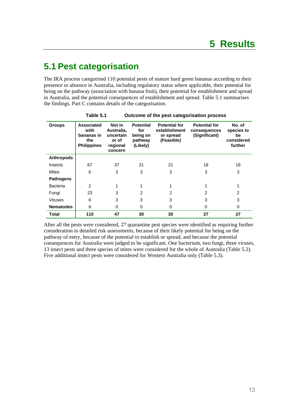# **5.1 Pest categorisation**

The IRA process categorised 110 potential pests of mature hard green bananas according to their presence or absence in Australia, including regulatory status where applicable, their potential for being on the pathway (association with banana fruit), their potential for establishment and spread in Australia, and the potential consequences of establishment and spread. Table 5.1 summarises the findings. Part C contains details of the categorisation.

|                   | Table 5.1                                                            |                                                                   | Outcome of the pest categorisation process                 |                                                                  |                                                       |                                                     |
|-------------------|----------------------------------------------------------------------|-------------------------------------------------------------------|------------------------------------------------------------|------------------------------------------------------------------|-------------------------------------------------------|-----------------------------------------------------|
| <b>Groups</b>     | <b>Associated</b><br>with<br>bananas in<br>the<br><b>Philippines</b> | Not in<br>Australia,<br>uncertain<br>or of<br>regional<br>concern | <b>Potential</b><br>for<br>being on<br>pathway<br>(Likely) | <b>Potential for</b><br>establishment<br>or spread<br>(Feasible) | <b>Potential for</b><br>consequences<br>(Significant) | No. of<br>species to<br>be<br>considered<br>further |
| <b>Arthropods</b> |                                                                      |                                                                   |                                                            |                                                                  |                                                       |                                                     |
| Insects           | 67                                                                   | 37                                                                | 21                                                         | 21                                                               | 18                                                    | 18                                                  |
| <b>Mites</b>      | 6                                                                    | 3                                                                 | 3                                                          | 3                                                                | 3                                                     | 3                                                   |
| <b>Pathogens</b>  |                                                                      |                                                                   |                                                            |                                                                  |                                                       |                                                     |
| <b>Bacteria</b>   | $\overline{2}$                                                       | 1                                                                 | 1                                                          |                                                                  |                                                       |                                                     |
| Fungi             | 23                                                                   | 3                                                                 | $\overline{2}$                                             | $\mathfrak{p}$                                                   | $\overline{2}$                                        | $\overline{c}$                                      |
| <b>Viruses</b>    | 6                                                                    | 3                                                                 | 3                                                          | 3                                                                | 3                                                     | 3                                                   |
| <b>Nematodes</b>  | 6                                                                    | 0                                                                 | 0                                                          | 0                                                                | 0                                                     | 0                                                   |
| Total             | 110                                                                  | 47                                                                | 30                                                         | 30                                                               | 27                                                    | 27                                                  |

After all the pests were considered, 27 quarantine pest species were identified as requiring further consideration in detailed risk assessments, because of their likely potential for being on the pathway of entry, because of the potential to establish or spread, and because the potential consequences for Australia were judged to be significant. One bacterium, two fungi, three viruses, 13 insect pests and three species of mites were considered for the whole of Australia (Table 5.2). Five additional insect pests were considered for Western Australia only (Table 5.3).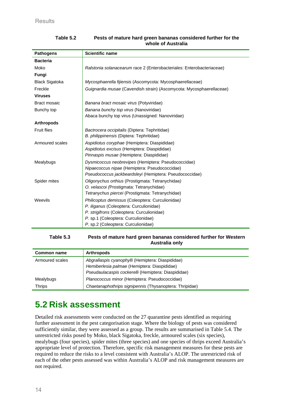| <b>Pathogens</b>                                                 | <b>Scientific name</b>                                                                       |  |  |  |
|------------------------------------------------------------------|----------------------------------------------------------------------------------------------|--|--|--|
| <b>Bacteria</b>                                                  |                                                                                              |  |  |  |
| Moko                                                             | Ralstonia solanacearum race 2 (Enterobacteriales: Enterobacteriaceae)                        |  |  |  |
| Fungi                                                            |                                                                                              |  |  |  |
| <b>Black Sigatoka</b>                                            | Mycosphaerella fijiensis (Ascomycota: Mycosphaerellaceae)                                    |  |  |  |
| Freckle                                                          | Guignardia musae (Cavendish strain) (Ascomycota: Mycosphaerellaceae)                         |  |  |  |
| <b>Viruses</b>                                                   |                                                                                              |  |  |  |
| Bract mosaic                                                     | Banana bract mosaic virus (Potyviridae)                                                      |  |  |  |
| Bunchy top                                                       | Banana bunchy top virus (Nanoviridae)                                                        |  |  |  |
|                                                                  | Abaca bunchy top virus (Unassigned: Nanoviridae)                                             |  |  |  |
| <b>Arthropods</b>                                                |                                                                                              |  |  |  |
| <b>Fruit flies</b>                                               | Bactrocera occipitalis (Diptera: Tephritidae)                                                |  |  |  |
|                                                                  | B. philippinensis (Diptera: Tephritidae)                                                     |  |  |  |
| Armoured scales                                                  | Aspidiotus coryphae (Hemiptera: Diaspididae)                                                 |  |  |  |
|                                                                  | Aspidiotus excisus (Hemiptera: Diaspididae)                                                  |  |  |  |
|                                                                  | Pinnaspis musae (Hemiptera: Diaspididae)                                                     |  |  |  |
| Mealybugs<br>Dysmicoccus neobrevipes (Hemiptera: Pseudococcidae) |                                                                                              |  |  |  |
|                                                                  | Nipaecoccus nipae (Hemiptera: Pseudococcidae)                                                |  |  |  |
| Pseudococcus jackbeardsleyi (Hemiptera: Pseudococcidae)          |                                                                                              |  |  |  |
| Spider mites                                                     | Oligonychus orthius (Prostigmata: Tetranychidae)                                             |  |  |  |
|                                                                  | O. velascoi (Prostigmata: Tetranychidae)<br>Tetranychus piercei (Prostigmata: Tetranychidae) |  |  |  |
|                                                                  |                                                                                              |  |  |  |
| Weevils                                                          | Philicoptus demissus (Coleoptera: Curculionidae)<br>P. iliganus (Coleoptera: Curculionidae)  |  |  |  |
|                                                                  | P. strigifrons (Coleoptera: Curculionidae)                                                   |  |  |  |
|                                                                  | P. sp.1 (Coleoptera: Curculionidae)                                                          |  |  |  |
|                                                                  | P. sp.2 (Coleoptera: Curculionidae)                                                          |  |  |  |
|                                                                  |                                                                                              |  |  |  |

#### **Table 5.2 Pests of mature hard green bananas considered further for the whole of Australia**

**Table 5.3 Pests of mature hard green bananas considered further for Western Australia only** 

| <b>Common name</b> | <b>Arthropods</b>                                       |
|--------------------|---------------------------------------------------------|
| Armoured scales    | Abgrallaspis cyanophylli (Hemiptera: Diaspididae)       |
|                    | Hemiberlesia palmae (Hemiptera: Diaspididae)            |
|                    | Pseudaulacaspis cockerelli (Hemiptera: Diaspididae)     |
| Mealybugs          | Planococcus minor (Hemiptera: Pseudococcidae)           |
| <b>Thrips</b>      | Chaetanaphothrips signipennis (Thysanoptera: Thripidae) |

# **5.2 Risk assessment**

Detailed risk assessments were conducted on the 27 quarantine pests identified as requiring further assessment in the pest categorisation stage. Where the biology of pests was considered sufficiently similar, they were assessed as a group. The results are summarised in Table 5.4. The unrestricted risks posed by Moko, black Sigatoka, freckle, armoured scales (six species), mealybugs (four species), spider mites (three species) and one species of thrips exceed Australia's appropriate level of protection. Therefore, specific risk management measures for these pests are required to reduce the risks to a level consistent with Australia's ALOP. The unrestricted risk of each of the other pests assessed was within Australia's ALOP and risk management measures are not required.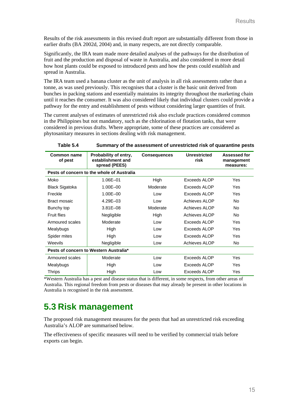Results of the risk assessments in this revised draft report are substantially different from those in earlier drafts (BA 2002d, 2004) and, in many respects, are not directly comparable.

Significantly, the IRA team made more detailed analyses of the pathways for the distribution of fruit and the production and disposal of waste in Australia, and also considered in more detail how host plants could be exposed to introduced pests and how the pests could establish and spread in Australia.

The IRA team used a banana cluster as the unit of analysis in all risk assessments rather than a tonne, as was used previously. This recognises that a cluster is the basic unit derived from bunches in packing stations and essentially maintains its integrity throughout the marketing chain until it reaches the consumer. It was also considered likely that individual clusters could provide a pathway for the entry and establishment of pests without considering larger quantities of fruit.

The current analyses of estimates of unrestricted risk also exclude practices considered common in the Philippines but not mandatory, such as the chlorination of flotation tanks, that were considered in previous drafts. Where appropriate, some of these practices are considered as phytosanitary measures in sections dealing with risk management.

| Common name<br>of pest                 | Probability of entry,<br>establishment and<br>spread (PEES) | <b>Consequences</b> | <b>Unrestricted</b><br>risk | Assessed for<br>management<br>measures: |  |  |  |
|----------------------------------------|-------------------------------------------------------------|---------------------|-----------------------------|-----------------------------------------|--|--|--|
|                                        | Pests of concern to the whole of Australia                  |                     |                             |                                         |  |  |  |
| Moko                                   | 1.06E-01                                                    | High                | Exceeds ALOP                | Yes                                     |  |  |  |
| <b>Black Sigatoka</b>                  | $1.00E - 00$                                                | Moderate            | Exceeds ALOP                | <b>Yes</b>                              |  |  |  |
| $1.00E - 00$<br>Freckle                |                                                             | Low                 | Exceeds ALOP                | Yes                                     |  |  |  |
| Bract mosaic                           | $4.29E - 03$                                                | Low                 | Achieves ALOP               | No.                                     |  |  |  |
| Bunchy top                             | $3.81E - 08$                                                | Moderate            | Achieves ALOP               | No.                                     |  |  |  |
| <b>Fruit flies</b>                     | Negligible                                                  |                     | Achieves ALOP               | No.                                     |  |  |  |
| Armoured scales                        | Moderate                                                    |                     | Exceeds ALOP                | <b>Yes</b>                              |  |  |  |
| Mealybugs                              | High                                                        | Low                 | Exceeds ALOP                | Yes                                     |  |  |  |
| Spider mites                           | High                                                        | Low                 | Exceeds ALOP                | Yes                                     |  |  |  |
| Weevils                                | Negligible                                                  | Low                 | Achieves ALOP               | No                                      |  |  |  |
| Pests of concern to Western Australia* |                                                             |                     |                             |                                         |  |  |  |
| Armoured scales                        | Moderate                                                    | Low                 | Exceeds ALOP                | Yes                                     |  |  |  |
| High<br>Mealybugs                      |                                                             | Low                 | Exceeds ALOP                | Yes                                     |  |  |  |
| Thrips                                 | High                                                        | Low                 | Exceeds ALOP                | Yes                                     |  |  |  |

**Table 5.4 Summary of the assessment of unrestricted risk of quarantine pests** 

\*Western Australia has a pest and disease status that is different, in some respects, from other areas of Australia. This regional freedom from pests or diseases that may already be present in other locations in Australia is recognised in the risk assessment.

# **5.3 Risk management**

The proposed risk management measures for the pests that had an unrestricted risk exceeding Australia's ALOP are summarised below.

The effectiveness of specific measures will need to be verified by commercial trials before exports can begin.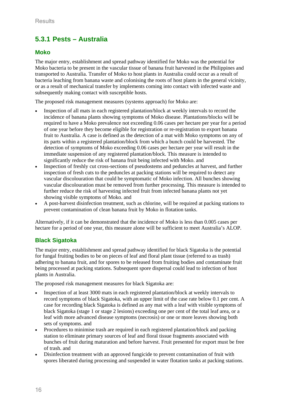# **5.3.1 Pests – Australia**

### **Moko**

The major entry, establishment and spread pathway identified for Moko was the potential for Moko bacteria to be present in the vascular tissue of banana fruit harvested in the Philippines and transported to Australia. Transfer of Moko to host plants in Australia could occur as a result of bacteria leaching from banana waste and colonising the roots of host plants in the general vicinity, or as a result of mechanical transfer by implements coming into contact with infected waste and subsequently making contact with susceptible hosts.

The proposed risk management measures (systems approach) for Moko are:

- Inspection of all mats in each registered plantation/block at weekly intervals to record the incidence of banana plants showing symptoms of Moko disease. Plantations/blocks will be required to have a Moko prevalence not exceeding 0.06 cases per hectare per year for a period of one year before they become eligible for registration or re-registration to export banana fruit to Australia. A case is defined as the detection of a mat with Moko symptoms on any of its parts within a registered plantation/block from which a bunch could be harvested. The detection of symptoms of Moko exceeding 0.06 cases per hectare per year will result in the immediate suspension of any registered plantation/block. This measure is intended to significantly reduce the risk of banana fruit being infected with Moko. and
- Inspection of freshly cut cross-sections of pseudostems and peduncles at harvest, and further inspection of fresh cuts to the peduncles at packing stations will be required to detect any vascular discolouration that could be symptomatic of Moko infection. All bunches showing vascular discolouration must be removed from further processing. This measure is intended to further reduce the risk of harvesting infected fruit from infected banana plants not yet showing visible symptoms of Moko. and
- A post-harvest disinfection treatment, such as chlorine, will be required at packing stations to prevent contamination of clean banana fruit by Moko in flotation tanks.

Alternatively, if it can be demonstrated that the incidence of Moko is less than 0.005 cases per hectare for a period of one year, this measure alone will be sufficient to meet Australia's ALOP.

### **Black Sigatoka**

The major entry, establishment and spread pathway identified for black Sigatoka is the potential for fungal fruiting bodies to be on pieces of leaf and floral plant tissue (referred to as trash) adhering to banana fruit, and for spores to be released from fruiting bodies and contaminate fruit being processed at packing stations. Subsequent spore dispersal could lead to infection of host plants in Australia.

The proposed risk management measures for black Sigatoka are:

- Inspection of at least 3000 mats in each registered plantation/block at weekly intervals to record symptoms of black Sigatoka, with an upper limit of the case rate below 0.1 per cent. A case for recording black Sigatoka is defined as any mat with a leaf with visible symptoms of black Sigatoka (stage 1 or stage 2 lesions) exceeding one per cent of the total leaf area, or a leaf with more advanced disease symptoms (necrosis) or one or more leaves showing both sets of symptoms. and
- Procedures to minimise trash are required in each registered plantation/block and packing station to eliminate primary sources of leaf and floral tissue fragments associated with bunches of fruit during maturation and before harvest. Fruit presented for export must be free of trash. and
- Disinfection treatment with an approved fungicide to prevent contamination of fruit with spores liberated during processing and suspended in water flotation tanks at packing stations.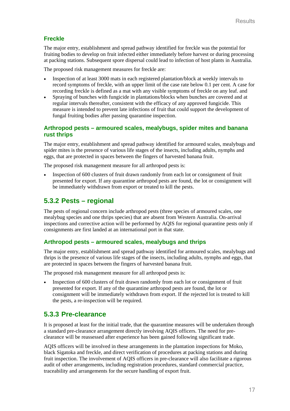### **Freckle**

The major entry, establishment and spread pathway identified for freckle was the potential for fruiting bodies to develop on fruit infected either immediately before harvest or during processing at packing stations. Subsequent spore dispersal could lead to infection of host plants in Australia.

The proposed risk management measures for freckle are:

- Inspection of at least 3000 mats in each registered plantation/block at weekly intervals to record symptoms of freckle, with an upper limit of the case rate below 0.1 per cent. A case for recording freckle is defined as a mat with any visible symptoms of freckle on any leaf. and
- Spraying of bunches with fungicide in plantations/blocks when bunches are covered and at regular intervals thereafter, consistent with the efficacy of any approved fungicide. This measure is intended to prevent late infections of fruit that could support the development of fungal fruiting bodies after passing quarantine inspection.

#### **Arthropod pests – armoured scales, mealybugs, spider mites and banana rust thrips**

The major entry, establishment and spread pathway identified for armoured scales, mealybugs and spider mites is the presence of various life stages of the insects, including adults, nymphs and eggs, that are protected in spaces between the fingers of harvested banana fruit.

The proposed risk management measure for all arthropod pests is:

• Inspection of 600 clusters of fruit drawn randomly from each lot or consignment of fruit presented for export. If any quarantine arthropod pests are found, the lot or consignment will be immediately withdrawn from export or treated to kill the pests.

# **5.3.2 Pests – regional**

The pests of regional concern include arthropod pests (three species of armoured scales, one mealybug species and one thrips species) that are absent from Western Australia. On-arrival inspections and corrective action will be performed by AQIS for regional quarantine pests only if consignments are first landed at an international port in that state.

### **Arthropod pests – armoured scales, mealybugs and thrips**

The major entry, establishment and spread pathway identified for armoured scales, mealybugs and thrips is the presence of various life stages of the insects, including adults, nymphs and eggs, that are protected in spaces between the fingers of harvested banana fruit.

The proposed risk management measure for all arthropod pests is:

• Inspection of 600 clusters of fruit drawn randomly from each lot or consignment of fruit presented for export. If any of the quarantine arthropod pests are found, the lot or consignment will be immediately withdrawn from export. If the rejected lot is treated to kill the pests, a re-inspection will be required.

# **5.3.3 Pre-clearance**

It is proposed at least for the initial trade, that the quarantine measures will be undertaken through a standard pre-clearance arrangement directly involving AQIS officers. The need for preclearance will be reassessed after experience has been gained following significant trade.

AQIS officers will be involved in these arrangements in the plantation inspections for Moko, black Sigatoka and freckle, and direct verification of procedures at packing stations and during fruit inspection. The involvement of AQIS officers in pre-clearance will also facilitate a rigorous audit of other arrangements, including registration procedures, standard commercial practice, traceability and arrangements for the secure handling of export fruit.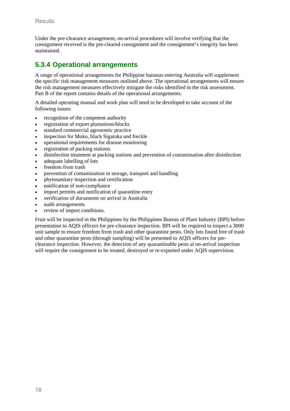Under the pre-clearance arrangement, on-arrival procedures will involve verifying that the consignment received is the pre-cleared consignment and the consignment's integrity has been maintained.

# **5.3.4 Operational arrangements**

A range of operational arrangements for Philippine bananas entering Australia will supplement the specific risk management measures outlined above. The operational arrangements will ensure the risk management measures effectively mitigate the risks identified in the risk assessment. Part B of the report contains details of the operational arrangements.

A detailed operating manual and work plan will need to be developed to take account of the following issues:

- recognition of the competent authority
- registration of export plantations/blocks
- standard commercial agronomic practice
- inspection for Moko, black Sigatoka and freckle
- operational requirements for disease monitoring
- registration of packing stations
- disinfection treatment at packing stations and prevention of contamination after disinfection
- adequate labelling of lots
- freedom from trash
- prevention of contamination in storage, transport and handling
- phytosanitary inspection and certification
- notification of non-compliance
- import permits and notification of quarantine entry
- verification of documents on arrival in Australia
- audit arrangements
- review of import conditions.

Fruit will be inspected in the Philippines by the Philippines Bureau of Plant Industry (BPI) before presentation to AQIS officers for pre-clearance inspection. BPI will be required to inspect a 3000 unit sample to ensure freedom from trash and other quarantine pests. Only lots found free of trash and other quarantine pests (through sampling) will be presented to AQIS officers for preclearance inspection. However, the detection of any quarantinable pests at on-arrival inspection will require the consignment to be treated, destroyed or re-exported under AOIS supervision.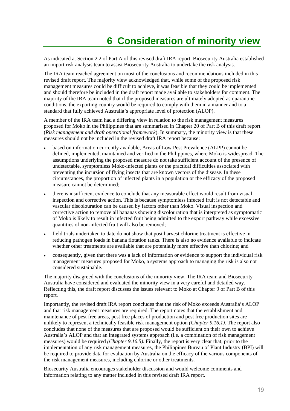As indicated at Section 2.2 of Part A of this revised draft IRA report, Biosecurity Australia established an import risk analysis team to assist Biosecurity Australia to undertake the risk analysis.

The IRA team reached agreement on most of the conclusions and recommendations included in this revised draft report. The majority view acknowledged that, while some of the proposed risk management measures could be difficult to achieve, it was feasible that they could be implemented and should therefore be included in the draft report made available to stakeholders for comment. The majority of the IRA team noted that if the proposed measures are ultimately adopted as quarantine conditions, the exporting country would be required to comply with them in a manner and to a standard that fully achieved Australia's appropriate level of protection (ALOP).

A member of the IRA team had a differing view in relation to the risk management measures proposed for Moko in the Philippines that are summarised in Chapter 20 of Part B of this draft report (*Risk management and draft operational framework*). In summary, the minority view is that these measures should not be included in the revised draft IRA report because:

- based on information currently available, Areas of Low Pest Prevalence (ALPP) cannot be defined, implemented, maintained and verified in the Philippines, where Moko is widespread. The assumptions underlying the proposed measure do not take sufficient account of the presence of undetectable, symptomless Moko-infected plants or the practical difficulties associated with preventing the incursion of flying insects that are known vectors of the disease. In these circumstances, the proportion of infected plants in a population or the efficacy of the proposed measure cannot be determined;
- there is insufficient evidence to conclude that any measurable effect would result from visual inspection and corrective action. This is because symptomless infected fruit is not detectable and vascular discolouration can be caused by factors other than Moko. Visual inspection and corrective action to remove all bananas showing discolouration that is interpreted as symptomatic of Moko is likely to result in infected fruit being admitted to the export pathway while excessive quantities of non-infected fruit will also be removed;
- field trials undertaken to date do not show that post harvest chlorine treatment is effective in reducing pathogen loads in banana flotation tanks. There is also no evidence available to indicate whether other treatments are available that are potentially more effective than chlorine; and
- consequently, given that there was a lack of information or evidence to support the individual risk management measures proposed for Moko, a systems approach to managing the risk is also not considered sustainable.

The majority disagreed with the conclusions of the minority view. The IRA team and Biosecurity Australia have considered and evaluated the minority view in a very careful and detailed way. Reflecting this, the draft report discusses the issues relevant to Moko at Chapter 9 of Part B of this report.

Importantly, the revised draft IRA report concludes that the risk of Moko exceeds Australia's ALOP and that risk management measures are required. The report notes that the establishment and maintenance of pest free areas, pest free places of production and pest free production sites are unlikely to represent a technically feasible risk management option *(Chapter 9.16.1).* The report also concludes that none of the measures that are proposed would be sufficient on their own to achieve Australia's ALOP and that an integrated systems approach (i.e. a combination of risk management measures) would be required *(Chapter 9.16.5).* Finally, the report is very clear that, prior to the implementation of any risk management measures, the Philippines Bureau of Plant Industry (BPI) will be required to provide data for evaluation by Australia on the efficacy of the various components of the risk management measures, including chlorine or other treatments.

Biosecurity Australia encourages stakeholder discussion and would welcome comments and information relating to any matter included in this revised draft IRA report.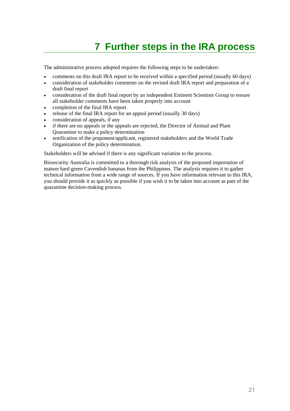# **7 Further steps in the IRA process**

The administrative process adopted requires the following steps to be undertaken:

- comments on this draft IRA report to be received within a specified period (usually 60 days)
- consideration of stakeholder comments on the revised draft IRA report and preparation of a draft final report
- consideration of the draft final report by an independent Eminent Scientists Group to ensure all stakeholder comments have been taken properly into account
- completion of the final IRA report
- release of the final IRA report for an appeal period (usually 30 days)
- consideration of appeals, if any
- if there are no appeals or the appeals are rejected, the Director of Animal and Plant Quarantine to make a policy determination
- notification of the proponent/applicant, registered stakeholders and the World Trade Organization of the policy determination.

Stakeholders will be advised if there is any significant variation to the process.

Biosecurity Australia is committed to a thorough risk analysis of the proposed importation of mature hard green Cavendish bananas from the Philippines. The analysis requires it to gather technical information from a wide range of sources. If you have information relevant to this IRA, you should provide it as quickly as possible if you wish it to be taken into account as part of the quarantine decision-making process.